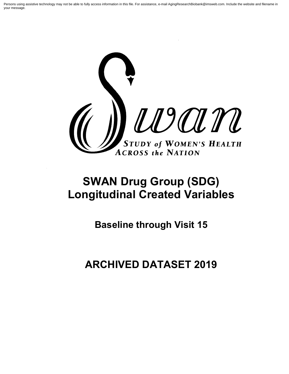Persons using assistive technology may not be able to fully access information in this file. For assistance, e-mail AgingResearchBiobank@imsweb.com. Include the website and filename in your message.



# **SWAN Drug Group (SDG) Longitudinal Created Variables**

**Baseline through Visit 15**

**ARCHIVED DATASET 2019**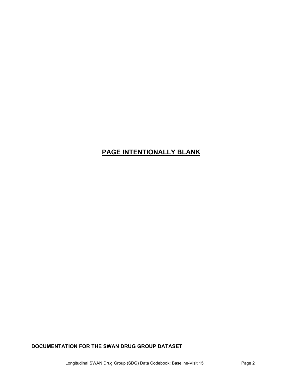# **PAGE INTENTIONALLY BLANK**

# **DOCUMENTATION FOR THE SWAN DRUG GROUP DATASET**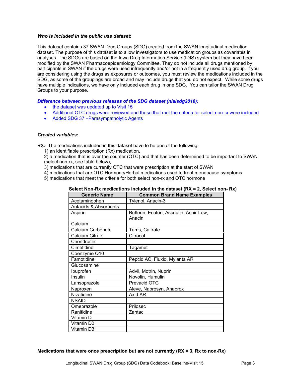#### *Who is included in the public use dataset***:**

This dataset contains 37 SWAN Drug Groups (SDG) created from the SWAN longitudinal medication dataset. The purpose of this dataset is to allow investigators to use medication groups as covariates in analyses. The SDGs are based on the Iowa Drug Information Service (IDIS) system but they have been modified by the SWAN Pharmacoepidemiology Committee. They do not include all drugs mentioned by participants in SWAN if the drugs were used infrequently and/or not in a frequently used drug group. If you are considering using the drugs as exposures or outcomes, you must review the medications included in the SDG, as some of the groupings are broad and may include drugs that you do not expect. While some drugs have multiple indications, we have only included each drug in one SDG. You can tailor the SWAN Drug Groups to your purpose.

#### *Difference between previous releases of the SDG dataset (nialsdg2018):*

- the dataset was updated up to Visit 15
- Additional OTC drugs were reviewed and those that met the criteria for select non-rx were included
- Added SDG 37 –Parasympatholytic Agents

#### *Created variables***:**

**RX:** The medications included in this dataset have to be one of the following:

1) an identifiable prescription (Rx) medication,

2) a medication that is over the counter (OTC) and that has been determined to be important to SWAN (select non-rx, see table below),

- 3) medications that are currently OTC that were prescription at the start of SWAN
- 4) medications that are OTC Hormone/Herbal medications used to treat menopause symptoms.
- 5) medications that meet the criteria for both select non-rx and OTC hormone

| <b>Generic Name</b>              | <b>Common Brand Name Examples</b>                  |
|----------------------------------|----------------------------------------------------|
| Acetaminophen                    | Tylenol, Anacin-3                                  |
| <b>Antacids &amp; Absorbents</b> |                                                    |
| Aspirin                          | Bufferin, Ecotrin, Ascriptin, Aspir-Low,<br>Anacin |
| Calcium                          |                                                    |
| Calcium Carbonate                | Tums, Caltrate                                     |
| Calcium Citrate                  | Citracal                                           |
| Chondroitin                      |                                                    |
| Cimetidine                       | Tagamet                                            |
| Coenzyme Q10                     |                                                    |
| Famotidine                       | Pepcid AC, Fluxid, Mylanta AR                      |
| Glucosamine                      |                                                    |
| Ibuprofen                        | Advil, Motrin, Nuprin                              |
| Insulin                          | Novolin, Humulin                                   |
| Lansoprazole                     | Prevacid OTC                                       |
| Naproxen                         | Aleve, Naprosyn, Anaprox                           |
| Nizatidine                       | Axid AR                                            |
| <b>NSAID</b>                     |                                                    |
| Omeprazole                       | Prilosec                                           |
| Ranitidine                       | Zantac                                             |
| Vitamin D                        |                                                    |
| Vitamin D2                       |                                                    |
| Vitamin D3                       |                                                    |

#### **Select Non-Rx medications included in the dataset (RX = 2, Select non- Rx)**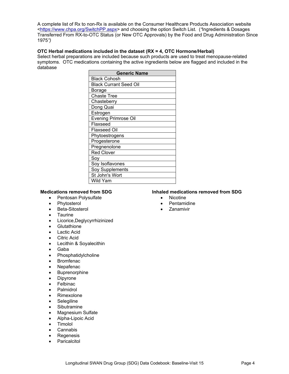A complete list of Rx to non-Rx is available on the Consumer Healthcare Products Association website [<https://www.chpa.org/SwitchPP.aspx>](https://www.chpa.org/SwitchPP.aspx) and choosing the option Switch List. (*"*Ingredients & Dosages Transferred From RX-to-OTC Status (or New OTC Approvals) by the Food and Drug Administration Since 1975*")*

#### **OTC Herbal medications included in the dataset (RX = 4, OTC Hormone/Herbal)**

Select herbal preparations are included because such products are used to treat menopause-related symptoms. OTC medications containing the active ingredients below are flagged and included in the database

| <b>Generic Name</b>           |  |  |  |  |  |  |  |
|-------------------------------|--|--|--|--|--|--|--|
| Black Cohosh                  |  |  |  |  |  |  |  |
| <b>Black Currant Seed Oil</b> |  |  |  |  |  |  |  |
| Borage                        |  |  |  |  |  |  |  |
| <b>Chaste Tree</b>            |  |  |  |  |  |  |  |
| Chasteberry                   |  |  |  |  |  |  |  |
| Dong Quai                     |  |  |  |  |  |  |  |
| Estrogen                      |  |  |  |  |  |  |  |
| <b>Evening Primrose Oil</b>   |  |  |  |  |  |  |  |
| Flaxseed                      |  |  |  |  |  |  |  |
| Flaxseed Oil                  |  |  |  |  |  |  |  |
| Phytoestrogens                |  |  |  |  |  |  |  |
| Progesterone                  |  |  |  |  |  |  |  |
| Pregnenolone                  |  |  |  |  |  |  |  |
| <b>Red Clover</b>             |  |  |  |  |  |  |  |
| Soy                           |  |  |  |  |  |  |  |
| Soy Isoflavones               |  |  |  |  |  |  |  |
| Soy Supplements               |  |  |  |  |  |  |  |
| St John's Wort                |  |  |  |  |  |  |  |
| Wild Yam                      |  |  |  |  |  |  |  |

- Pentosan Polysulfate Nicotine
- 
- Beta-Sitosterol Zanamivir
- Taurine
- Licorice,Deglycyrrhizinized
- **Glutathione**
- Lactic Acid
- Citric Acid
- Lecithin & Soyalecithin
- Gaba
- **Phosphatidylcholine**
- Bromfenac
- **Nepafenac**
- **Buprenorphine**
- **Dipyrone**
- **Felbinac**
- Palmidrol
- Rimexolone
- **Selegiline**
- **Sibutramine**
- Magnesium Sulfate
- Alpha-Lipoic Acid
- Timolol
- **Cannabis**
- **Regenesis**
- **Paricalcitol**

# **Medications removed from SDG Inhaled medications removed from SDG**<br>• Pentosan Polysulfate **Interpretations** Nicotine

- 
- Phytosterol **•** Pentamidine
	-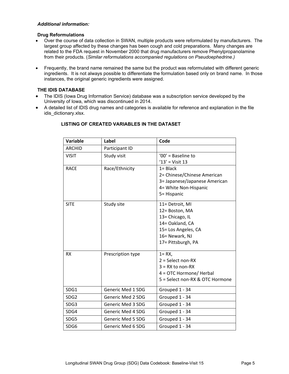#### *Additional information:*

#### **Drug Reformulations**

- Over the course of data collection in SWAN, multiple products were reformulated by manufacturers.The largest group affected by these changes has been cough and cold preparations.Many changes are related to the FDA request in November 2000 that drug manufacturers remove Phenylpropanolamine from their products. (*Similar reformulations accompanied regulations on Pseudoephedrine.)*
- Frequently, the brand name remained the same but the product was reformulated with different generic ingredients. It is not always possible to differentiate the formulation based only on brand name. In those instances, the original generic ingredients were assigned.

#### **THE IDIS DATABASE**

- The IDIS (Iowa Drug Information Service) database was a subscription service developed by the University of Iowa, which was discontinued in 2014.
- A detailed list of IDIS drug names and categories is available for reference and explanation in the file idis\_dictionary.xlsx.

| <b>Variable</b>  | Label                    | Code                            |
|------------------|--------------------------|---------------------------------|
| <b>ARCHID</b>    | Participant ID           |                                 |
| <b>VISIT</b>     | Study visit              | $'00'$ = Baseline to            |
|                  |                          | $'13' = Visit 13$               |
| <b>RACE</b>      | Race/Ethnicity           | $1 = Black$                     |
|                  |                          | 2= Chinese/Chinese American     |
|                  |                          | 3= Japanese/Japanese American   |
|                  |                          | 4= White Non-Hispanic           |
|                  |                          | 5= Hispanic                     |
| <b>SITE</b>      | Study site               | 11= Detroit, MI                 |
|                  |                          | 12= Boston, MA                  |
|                  |                          | 13= Chicago, IL                 |
|                  |                          | 14= Oakland, CA                 |
|                  |                          | 15= Los Angeles, CA             |
|                  |                          | 16= Newark, NJ                  |
|                  |                          | 17= Pittsburgh, PA              |
| <b>RX</b>        | Prescription type        | $1 = RX$                        |
|                  |                          | $2 = Select non-RX$             |
|                  |                          | $3 = RX$ to non-RX              |
|                  |                          | 4 = OTC Hormone/ Herbal         |
|                  |                          | 5 = Select non-RX & OTC Hormone |
| SDG1             | <b>Generic Med 1 SDG</b> | Grouped 1 - 34                  |
| SDG <sub>2</sub> | Generic Med 2 SDG        | Grouped 1 - 34                  |
| SDG3             | Generic Med 3 SDG        | Grouped 1 - 34                  |
| SDG4             | Generic Med 4 SDG        | Grouped 1 - 34                  |
| SDG5             | Generic Med 5 SDG        | Grouped 1 - 34                  |
| SDG6             | Generic Med 6 SDG        | Grouped 1 - 34                  |

#### **LISTING OF CREATED VARIABLES IN THE DATASET**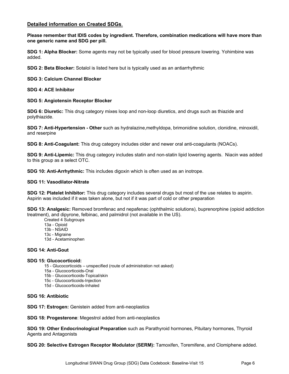#### **Detailed information on Created SDGs**.

**Please remember that IDIS codes by ingredient. Therefore, combination medications will have more than one generic name and SDG per pill.**

**SDG 1: Alpha Blocker:** Some agents may not be typically used for blood pressure lowering. Yohimbine was added.

**SDG 2: Beta Blocker:** Sotalol is listed here but is typically used as an antiarrhythmic

**SDG 3: Calcium Channel Blocker**

**SDG 4: ACE Inhibitor**

#### **SDG 5: Angiotensin Receptor Blocker**

**SDG 6: Diuretic:** This drug category mixes loop and non-loop diuretics, and drugs such as thiazide and polythiazide.

**SDG 7: Anti-Hypertension - Other** such as hydralazine,methyldopa, brimonidine solution, clonidine, minoxidil, and reserpine

**SDG 8: Anti-Coagulant:** This drug category includes older and newer oral anti-coagulants (NOACs).

**SDG 9: Anti-Lipemic:** This drug category includes statin and non-statin lipid lowering agents. Niacin was added to this group as a select OTC.

**SDG 10: Anti-Arrhythmic:** This includes digoxin which is often used as an inotrope.

#### **SDG 11: Vasodilator-Nitrate**

**SDG 12: Platelet Inhibitor:** This drug category includes several drugs but most of the use relates to aspirin. Aspirin was included if it was taken alone, but not if it was part of cold or other preparation

**SDG 13: Analgesic:** Removed bromfenac and nepafenac (ophthalmic solutions), buprenorphine (opioid addiction treatment), and dipyrone, felbinac, and palmidrol (not available in the US).

Created 4 Subgroups

- 13a Opioid
- 13b NSAID
- 13c Migraine
- 13d Acetaminophen

#### **SDG 14: Anti-Gout**

#### **SDG 15: Glucocorticoid:**

- 15 Glucocorticoids unspecified (route of administration not asked)
- 15a Glucocorticoids-Oral
- 15b Glucocorticoids-Topical/skin
- 15c Glucocorticoids-Injection
- 15d Glucocorticoids-Inhaled

#### **SDG 16: Antibiotic**

**SDG 17: Estrogen:** Genistein added from anti-neoplastics

**SDG 18: Progesterone**: Megestrol added from anti-neoplastics

**SDG 19: Other Endocrinological Preparation** such as Parathyroid hormones, Pituitary hormones, Thyroid Agents and Antagonists

**SDG 20: Selective Estrogen Receptor Modulator (SERM):** Tamoxifen, Toremifene, and Clomiphene added.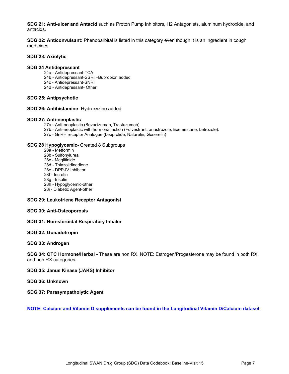**SDG 21: Anti-ulcer and Antacid** such as Proton Pump Inhibitors, H2 Antagonists, aluminum hydroxide, and antacids.

**SDG 22: Anticonvulsant:** Phenobarbital is listed in this category even though it is an ingredient in cough medicines.

#### **SDG 23: Axiolytic**

#### **SDG 24 Antidepressant**

- 24a Antidepressant-TCA
- 24b Antidepressant-SSRI –Bupropion added
- 24c Antidepressant-SNRI
- 24d Antidepressant- Other

#### **SDG 25: Antipsychotic**

#### **SDG 26: Antihistamine**- Hydroxyzine added

#### **SDG 27: Anti-neoplastic**

- 27a Anti-neoplastic (Bevacizumab, Trastuzumab)
- 27b Anti-neoplastic with hormonal action (Fulvestrant, anastrozole, Exemestane, Letrozole).
- 27c GnRH receptor Analogue (Leuprolide, Nafarelin, Goserelin)

#### **SDG 28 Hypoglycemic-** Created 8 Subgroups

- 28a Metformin
- 28b Sulfonylurea
- 28c Meglitinide
- 28d Thiazolidinedione
- 28e DPP-IV Inhibitor
- 28f Incretin
- 28g Insulin
- 28h Hypoglycemic-other
- 28i Diabetic Agent-other

#### **SDG 29: Leukotriene Receptor Antagonist**

#### **SDG 30: Anti-Osteoporosis**

#### **SDG 31: Non-steroidal Respiratory Inhaler**

#### **SDG 32: Gonadotropin**

#### **SDG 33: Androgen**

**SDG 34: OTC Hormone/Herbal -** These are non RX. NOTE: Estrogen/Progesterone may be found in both RX and non RX categories**.**

#### **SDG 35: Janus Kinase (JAKS) Inhibitor**

**SDG 36: Unknown**

**SDG 37: Parasympatholytic Agent**

#### **NOTE: Calcium and Vitamin D supplements can be found in the Longitudinal Vitamin D/Calcium dataset**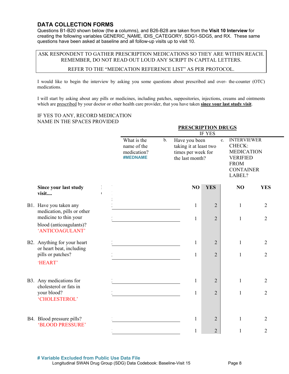### **DATA COLLECTION FORMS**

Questions B1-B20 shown below (the **a** columns), and B26-B28 are taken from the **Visit 10 Interview** for creating the following variables GENERIC\_NAME, IDIS\_CATEGORY, SDG1-SDG5, and RX. These same questions have been asked at baseline and all follow-up visits up to visit 10.

### ASK RESPONDENT TO GATHER PRESCRIPTION MEDICATIONS SO THEY ARE WITHIN REACH. REMEMBER, DO NOT READ OUT LOUD ANY SCRIPT IN CAPITAL LETTERS.

#### REFER TO THE "MEDICATION REFERENCE LIST" AS PER PROTOCOL.

I would like to begin the interview by asking you some questions about prescribed and over- the-counter (OTC) medications.

I will start by asking about any pills or medicines, including patches, suppositories, injections, creams and ointments which are prescribed by your doctor or other health care provider, that you have taken **since your last study visit**.

#### IF YES TO ANY, RECORD MEDICATION NAME IN THE SPACES PROVIDED

|                                                                               |                                                       | <b>PRESCRIPTION DRUGS</b><br><b>IF YES</b> |                                                                                  |                |                                                                                                                                  |                                  |  |  |  |  |
|-------------------------------------------------------------------------------|-------------------------------------------------------|--------------------------------------------|----------------------------------------------------------------------------------|----------------|----------------------------------------------------------------------------------------------------------------------------------|----------------------------------|--|--|--|--|
|                                                                               | What is the<br>name of the<br>medication?<br>#MEDNAME | $\mathbf{b}$ .                             | Have you been<br>taking it at least two<br>times per week for<br>the last month? |                | <b>INTERVIEWER</b><br>$c_{\cdot}$<br>CHECK:<br><b>MEDICATION</b><br><b>VERIFIED</b><br><b>FROM</b><br><b>CONTAINER</b><br>LABEL? |                                  |  |  |  |  |
| Since your last study<br>visit                                                |                                                       |                                            | NO                                                                               | <b>YES</b>     | NO                                                                                                                               | <b>YES</b>                       |  |  |  |  |
| B1. Have you taken any<br>medication, pills or other<br>medicine to thin your |                                                       |                                            | $\mathbf{1}$                                                                     | $\overline{2}$ | 1                                                                                                                                | $\overline{2}$                   |  |  |  |  |
| blood (anticoagulants)?<br>'ANTICOAGULANT'                                    |                                                       |                                            | 1                                                                                | $\overline{2}$ | $\mathbf{1}$                                                                                                                     | $\overline{2}$                   |  |  |  |  |
| B2. Anything for your heart<br>or heart beat, including<br>pills or patches?  |                                                       |                                            | $\mathbf{1}$                                                                     | $\overline{2}$ | $\mathbf{1}$<br>$\mathbf{1}$                                                                                                     | $\overline{2}$<br>$\overline{2}$ |  |  |  |  |
| 'HEART'                                                                       |                                                       |                                            | $\mathbf{1}$                                                                     | $\overline{2}$ |                                                                                                                                  |                                  |  |  |  |  |
| B3. Any medications for<br>cholesterol or fats in                             |                                                       |                                            | 1                                                                                | $\overline{2}$ | $\mathbf{1}$                                                                                                                     | $\overline{2}$                   |  |  |  |  |
| your blood?<br>'CHOLESTEROL'                                                  |                                                       |                                            | $\mathbf{1}$                                                                     | $\overline{2}$ | 1                                                                                                                                | $\overline{2}$                   |  |  |  |  |
| B4. Blood pressure pills?<br>'BLOOD PRESSURE'                                 |                                                       |                                            | $\mathbf{1}$                                                                     | $\overline{2}$ | 1                                                                                                                                | $\overline{2}$                   |  |  |  |  |
|                                                                               |                                                       |                                            | 1                                                                                | $\overline{2}$ | 1                                                                                                                                | $\overline{2}$                   |  |  |  |  |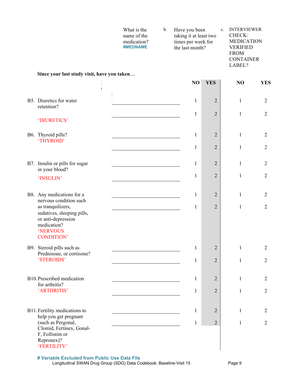|                                                                                                                       | What is the<br>name of the<br>medication?<br>#MEDNAME | $\mathbf b$ . | Have you been<br>taking it at least two<br>times per week for<br>the last month? | c.             | <b>INTERVIEWER</b><br>CHECK:<br><b>MEDICATION</b><br><b>VERIFIED</b><br><b>FROM</b><br><b>CONTAINER</b><br>LABEL? |                |
|-----------------------------------------------------------------------------------------------------------------------|-------------------------------------------------------|---------------|----------------------------------------------------------------------------------|----------------|-------------------------------------------------------------------------------------------------------------------|----------------|
| Since your last study visit, have you taken                                                                           |                                                       |               | NO                                                                               | <b>YES</b>     | NO                                                                                                                | <b>YES</b>     |
|                                                                                                                       |                                                       |               |                                                                                  |                |                                                                                                                   |                |
| B5. Diuretics for water<br>retention?                                                                                 |                                                       |               | $\mathbf{1}$                                                                     | $\overline{2}$ | $\mathbf{1}$                                                                                                      | $\overline{2}$ |
| 'DIURETICS'                                                                                                           |                                                       |               | 1                                                                                | $\overline{2}$ | $\mathbf{1}$                                                                                                      | $\overline{2}$ |
| B6. Thyroid pills?<br>'THYROID'                                                                                       |                                                       |               | $\mathbf{1}$                                                                     | $\overline{2}$ | $\mathbf{1}$                                                                                                      | $\overline{2}$ |
|                                                                                                                       |                                                       |               | $\mathbf{1}$                                                                     | $\overline{2}$ | $\mathbf{1}$                                                                                                      | $\mathbf{2}$   |
| B7. Insulin or pills for sugar<br>in your blood?                                                                      |                                                       |               | $\mathbf{1}$                                                                     | $\overline{2}$ | $\mathbf{1}$                                                                                                      | $\overline{2}$ |
| 'INSULIN'                                                                                                             |                                                       |               | $\mathbf{1}$                                                                     | $\overline{2}$ | $\mathbf{1}$                                                                                                      | $\overline{2}$ |
| B8. Any medications for a<br>nervous condition such                                                                   |                                                       |               | $\mathbf{1}$                                                                     | 2              | $\mathbf{1}$                                                                                                      | $\overline{2}$ |
| as tranquilizers,<br>sedatives, sleeping pills,<br>or anti-depression<br>medication?<br>'NERVOUS<br><b>CONDITION'</b> |                                                       |               | 1                                                                                | $\overline{2}$ | $\mathbf{1}$                                                                                                      | $\overline{2}$ |
| B9. Steroid pills such as<br>Prednisone, or cortisone?                                                                |                                                       |               | 1                                                                                | $\overline{2}$ | 1                                                                                                                 | $\overline{2}$ |
| 'STEROIDS'                                                                                                            |                                                       |               | 1                                                                                | $\overline{2}$ | $\mathbf{1}$                                                                                                      | $\overline{2}$ |
| B10. Prescribed medication<br>for arthritis?                                                                          |                                                       |               | 1                                                                                | $\overline{2}$ | $\mathbf{1}$                                                                                                      | $\overline{2}$ |
| 'ARTHRITIS'                                                                                                           |                                                       |               | 1                                                                                | $\overline{2}$ | $\mathbf{1}$                                                                                                      | $\overline{2}$ |
| B11. Fertility medications to                                                                                         |                                                       |               | 1                                                                                | $\overline{2}$ | $\mathbf{1}$                                                                                                      | $\overline{2}$ |
| help you get pregnant<br>(such as Pergonal,<br>Clomid, Fertinex, Gonal-<br>F, Follistim or<br>Repronex)?              |                                                       |               | 1                                                                                | $\overline{2}$ | $\mathbf{1}$                                                                                                      | $\overline{2}$ |

'FERTILITY'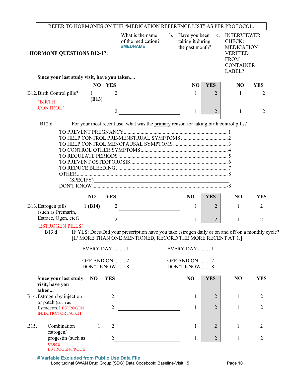|                                                              |                                                    |                               |                | REFER TO HORMONES ON THE "MEDICATION REFERENCE LIST" AS PER PROTOCOL.                                                                                           |                |                                                      |                |                                                                                                                   |                |
|--------------------------------------------------------------|----------------------------------------------------|-------------------------------|----------------|-----------------------------------------------------------------------------------------------------------------------------------------------------------------|----------------|------------------------------------------------------|----------------|-------------------------------------------------------------------------------------------------------------------|----------------|
| <b>HORMONE QUESTIONS B12-17:</b>                             |                                                    |                               |                | What is the name<br>of the medication?<br>#MEDNAME                                                                                                              | $\mathbf{b}$ . | Have you been<br>taking it during<br>the past month? | c.             | <b>INTERVIEWER</b><br>CHECK:<br><b>MEDICATION</b><br><b>VERIFIED</b><br><b>FROM</b><br><b>CONTAINER</b><br>LABEL? |                |
|                                                              | Since your last study visit, have you taken        |                               |                |                                                                                                                                                                 |                |                                                      |                |                                                                                                                   |                |
|                                                              |                                                    |                               | NO YES         |                                                                                                                                                                 |                | N <sub>O</sub>                                       | <b>YES</b>     | NO                                                                                                                | <b>YES</b>     |
| B12. Birth Control pills?<br><b>BIRTH</b><br><b>CONTROL'</b> |                                                    | $\mathbf{1}$<br>(B13)         | 2              |                                                                                                                                                                 |                | 1                                                    | 2              | 1                                                                                                                 | 2              |
|                                                              |                                                    | 1                             | $\overline{2}$ |                                                                                                                                                                 |                | 1                                                    | $\overline{2}$ | 1                                                                                                                 | $\overline{2}$ |
| B12.d                                                        |                                                    |                               |                | For your most recent use, what was the primary reason for taking birth control pills?                                                                           |                |                                                      |                |                                                                                                                   |                |
|                                                              | (SPECIFY)                                          |                               |                |                                                                                                                                                                 |                |                                                      |                |                                                                                                                   |                |
|                                                              |                                                    | N <sub>O</sub>                | <b>YES</b>     |                                                                                                                                                                 |                | <b>NO</b>                                            | <b>YES</b>     | N <sub>O</sub>                                                                                                    | <b>YES</b>     |
| B13. Estrogen pills<br>(such as Premarin,                    | Estrace, Ogen, etc)?                               | 1 $(B14)$                     | $\overline{2}$ |                                                                                                                                                                 |                | 1                                                    | 2              | 1                                                                                                                 | $\overline{2}$ |
| <b>B13.d</b>                                                 | 'ESTROGEN PILLS'                                   | $\mathbf{1}$                  | $\overline{2}$ | IF YES: Does/Did your prescription have you take estrogen daily or on and off on a monthly cycle?<br>[IF MORE THAN ONE MENTIONED, RECORD THE MORE RECENT AT 1.] |                | 1                                                    | $\overline{2}$ | 1                                                                                                                 | $\overline{2}$ |
|                                                              |                                                    | EVERY DAY 1                   |                |                                                                                                                                                                 |                | EVERY DAY 1                                          |                |                                                                                                                   |                |
|                                                              |                                                    | OFF AND ON2<br>DON'T KNOW  -8 |                |                                                                                                                                                                 |                | OFF AND ON 2<br>DON'T KNOW -8                        |                |                                                                                                                   |                |
| visit, have you<br>taken                                     | Since your last study                              | N <sub>O</sub>                | <b>YES</b>     |                                                                                                                                                                 |                | N <sub>O</sub>                                       | <b>YES</b>     | N <sub>O</sub>                                                                                                    | <b>YES</b>     |
| B14. Estrogen by injection                                   |                                                    | $\mathbf{1}$                  |                | $2 \overline{ }$                                                                                                                                                |                | 1                                                    | $\overline{2}$ | 1                                                                                                                 | $\overline{2}$ |
| or patch (such as                                            | Estraderm)?'ESTROGEN<br><b>INJECTION OR PATCH'</b> | $\mathbf{1}$                  | $\overline{2}$ |                                                                                                                                                                 |                | 1                                                    | $\overline{2}$ | $\mathbf{1}$                                                                                                      | $\overline{2}$ |
| B15.<br>estrogen/                                            | Combination                                        | $\mathbf{1}$                  | 2              | <u> 1980 - Johann Barbara, martxa a</u>                                                                                                                         |                | 1                                                    | $\overline{2}$ | $\mathbf{1}$                                                                                                      | $\overline{2}$ |
| <b>COMB</b><br><b>ESTROGEN/PROGE</b>                         | progestin (such as                                 | $\mathbf{1}$                  | $\overline{2}$ | <u> 1989 - Johann Barbara, martxa a</u>                                                                                                                         |                | 1                                                    | $\overline{2}$ | $\mathbf{1}$                                                                                                      | $\overline{2}$ |

**# Variable Excluded from Public Use Data File** Longitudinal SWAN Drug Group (SDG) Data Codebook: Baseline-Visit 15 Page 10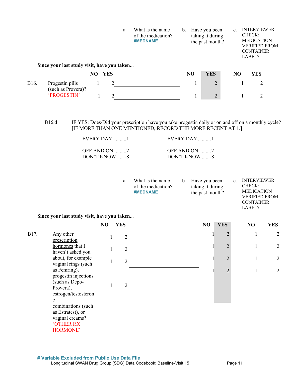|      | a.<br>Since your last study visit, have you taken |    | What is the name<br>of the medication?<br>#MEDNAME | $b_{\cdot}$ | Have you been<br>taking it during<br>the past month? |    |            | <b>INTERVIEWER</b><br>$\mathbf{c}$ .<br>CHECK:<br><b>MEDICATION</b><br><b>VERIFIED FROM</b><br><b>CONTAINER</b><br>LABEL? |  |            |  |
|------|---------------------------------------------------|----|----------------------------------------------------|-------------|------------------------------------------------------|----|------------|---------------------------------------------------------------------------------------------------------------------------|--|------------|--|
|      |                                                   | NO | <b>YES</b>                                         |             |                                                      | NO | <b>YES</b> | N <sub>O</sub>                                                                                                            |  | <b>YES</b> |  |
| B16. | Progestin pills<br>(such as Provera)?             |    | 2                                                  |             |                                                      |    | 2          |                                                                                                                           |  | 2          |  |
|      | 'PROGESTIN'                                       |    | ↑                                                  |             |                                                      |    | 2          |                                                                                                                           |  | 2          |  |

B16.d IF YES: Does/Did your prescription have you take progestin daily or on and off on a monthly cycle? [IF MORE THAN ONE MENTIONED, RECORD THE MORE RECENT AT 1.]

| EVERY DAY 1      | $EVERY$ DAY $\ldots$ 1   |
|------------------|--------------------------|
| OFF AND ON2      | OFF AND ON $\dots$ 2     |
| DON'T KNOW $ -8$ | $DON'T$ KNOW $\ldots$ -8 |

| What is the name<br>a.<br>of the medication?<br>#MEDNAME |  | b. Have you been<br>taking it during<br>the past month? | $\mathbf{c}$ . | <b>INTERVIEWER</b><br>CHECK:<br><b>MEDICATION</b><br><b>VERIFIED FROM</b> |
|----------------------------------------------------------|--|---------------------------------------------------------|----------------|---------------------------------------------------------------------------|
|----------------------------------------------------------|--|---------------------------------------------------------|----------------|---------------------------------------------------------------------------|

CONTAINER LABEL?

**Since your last study visit, have you taken**...

|           |                                                                                            | NO | <b>YES</b>     | N <sub>O</sub> | <b>YES</b>     | NO | <b>YES</b> |
|-----------|--------------------------------------------------------------------------------------------|----|----------------|----------------|----------------|----|------------|
| B17.      | Any other<br>prescription                                                                  |    | 2              |                | $\overline{2}$ |    | 2          |
|           | hormones that I<br>haven't asked you                                                       |    | $\overline{2}$ |                | $\overline{2}$ |    | 2          |
| Provera), | about, for example<br>vaginal rings (such                                                  |    | $\overline{2}$ |                | $\overline{2}$ |    | 2          |
|           | as Femring),<br>progestin injections<br>(such as Depo-<br>estrogen/testosteron<br>e        |    | $\overline{2}$ |                | $\overline{2}$ |    | 2          |
|           | combinations (such<br>as Estratest), or<br>vaginal creams?<br><b>'OTHER RX</b><br>HORMONE' |    |                |                |                |    |            |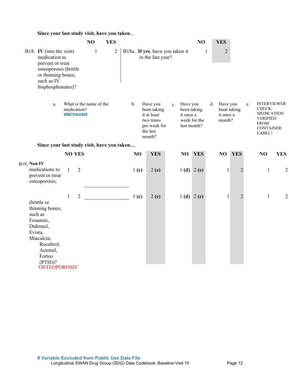### **Since your last study visit, have you taken**...

|                                                                                                                                                                 |                                                           | NO           | <b>YES</b> |                |                |                  |                                                                                           |             |                                                     | NO           |    | <b>YES</b>                      |                |    |                                                                                                                   |                |
|-----------------------------------------------------------------------------------------------------------------------------------------------------------------|-----------------------------------------------------------|--------------|------------|----------------|----------------|------------------|-------------------------------------------------------------------------------------------|-------------|-----------------------------------------------------|--------------|----|---------------------------------|----------------|----|-------------------------------------------------------------------------------------------------------------------|----------------|
| B18. IV (into the vein)<br>medication to<br>prevent or treat<br>osteoporosis (brittle<br>or thinning bones;<br>such as IV<br>bisphosphonates)?                  |                                                           | $\mathbf{1}$ |            | $\overline{2}$ |                |                  | B18a. If yes, have you taken it<br>in the last year?                                      |             |                                                     | $\mathbf{1}$ |    | $\overline{2}$                  |                |    |                                                                                                                   |                |
| a.                                                                                                                                                              | What is the name of the<br>medication?<br><b>#MEDNAME</b> |              |            |                | $\mathbf{b}$ . |                  | Have you<br>been taking<br>it at least<br>two times<br>per week for<br>the last<br>month? | $c_{\cdot}$ | Have you<br>been taking<br>it once a<br>last month? | week for the | d. | Have you<br>it once a<br>month? | been taking    | e. | <b>INTERVIEWER</b><br>CHECK:<br><b>MEDICATION</b><br><b>VERIFIED</b><br><b>FROM</b><br><b>CONTAINER</b><br>LABEL? |                |
| Since your last study visit, have you taken                                                                                                                     |                                                           |              |            |                |                |                  |                                                                                           |             |                                                     |              |    |                                 |                |    |                                                                                                                   |                |
|                                                                                                                                                                 | <b>NO YES</b>                                             |              |            |                | NO             |                  | <b>YES</b>                                                                                |             | NO                                                  | <b>YES</b>   |    | NO                              | <b>YES</b>     |    | NO                                                                                                                | <b>YES</b>     |
| B19. Non IV<br>medications to<br>prevent or treat<br>osteoporosis;                                                                                              | $\mathbf{1}$<br>$\mathfrak{2}$                            |              |            |                |                | 1 <sub>(c)</sub> | 2(e)                                                                                      |             |                                                     | 1 (d) 2 (e)  |    | $\mathbf{1}$                    | $\overline{2}$ |    | $\mathbf{1}$                                                                                                      | $\overline{c}$ |
| (brittle or<br>thinning bones;<br>such as<br>Fosamax,<br>Didronel,<br>Evista,<br>Miacalcin,<br>Rocaltrol,<br>Actonel,<br>Forteo<br>$(PTH))$ ?<br>'OSTEOPOROSIS' | $\mathbf{1}$<br>$\overline{2}$                            |              |            |                |                | 1 <sub>(c)</sub> | 2(e)                                                                                      |             |                                                     | 1(d) 2(e)    |    | $\mathbf{1}$                    | $\overline{2}$ |    | $\mathbf{1}$                                                                                                      | $\overline{2}$ |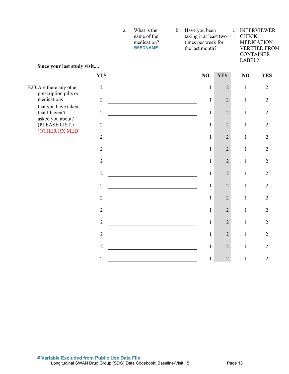| a. | What is the | b. Have you been       | c INTERVIEWER        |
|----|-------------|------------------------|----------------------|
|    | name of the | taking it at least two | . CHECK:             |
|    | medication? | times per week for     | <b>MEDICATION</b>    |
|    | #MEDNAME    | the last month?        | <b>VERIFIED FROM</b> |
|    |             |                        | <b>CONTAINER</b>     |

LABEL?

**Since your last study visit....**

|                                                   | <b>YES</b>     | NO           | <b>YES</b>     | NO           | <b>YES</b>     |
|---------------------------------------------------|----------------|--------------|----------------|--------------|----------------|
| B20. Are there any other<br>prescription pills or | $\overline{2}$ | $\mathbf{1}$ | $\overline{2}$ | $\mathbf{1}$ | $\overline{2}$ |
| medications                                       | $\overline{2}$ | $\mathbf{1}$ | $\overline{2}$ | $\mathbf{1}$ | $\overline{2}$ |
| that you have taken,<br>that I haven't            | $\overline{2}$ | $\mathbf{1}$ | $\overline{2}$ | $\mathbf{1}$ | $\overline{2}$ |
| asked you about?<br>(PLEASE LIST.)                | $\overline{2}$ | $\mathbf{1}$ | $\overline{2}$ | $\mathbf{1}$ | $\overline{2}$ |
| 'OTHER RX MED'                                    | $\overline{2}$ | $\mathbf{1}$ | $\overline{2}$ | $\mathbf{1}$ | $\overline{2}$ |
|                                                   | $\overline{2}$ | $\mathbf{1}$ | $\overline{2}$ | $\mathbf{1}$ | $\overline{2}$ |
|                                                   | $\overline{2}$ | $\mathbf{1}$ | $\overline{2}$ | $\mathbf{1}$ | $\overline{2}$ |
|                                                   | $\overline{2}$ | 1            | $\overline{2}$ | $\mathbf{1}$ | $\overline{2}$ |
|                                                   | $\overline{2}$ | $\mathbf{1}$ | $\overline{2}$ | $\mathbf{1}$ | $\overline{2}$ |
|                                                   | $\overline{2}$ | $\mathbf{1}$ | $\overline{2}$ | $\mathbf{1}$ | $\overline{2}$ |
|                                                   | $\overline{2}$ | $\mathbf{1}$ | $\overline{2}$ | $\mathbf{1}$ | $\overline{2}$ |
|                                                   | $\overline{2}$ | 1            | $\overline{2}$ | $\mathbf{1}$ | $\overline{2}$ |
|                                                   | $\overline{2}$ | $\mathbf{1}$ | $\overline{2}$ | $\mathbf{1}$ | $\overline{2}$ |
|                                                   | $\overline{2}$ | $\mathbf{1}$ | $\overline{2}$ | $\mathbf 1$  | $\overline{2}$ |
|                                                   | $\overline{2}$ | $\mathbf{1}$ | $\overline{2}$ | $\mathbf{1}$ | $\overline{2}$ |
|                                                   |                |              |                |              |                |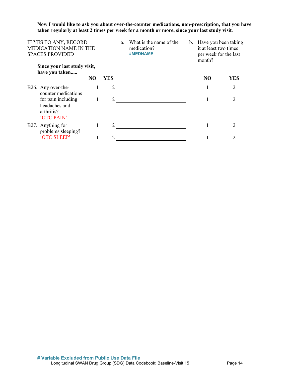### **Now I would like to ask you about over-the-counter medications, non-prescription, that you have taken regularly at least 2 times per week for a month or more, since your last study visit**.

| IF YES TO ANY, RECORD<br>MEDICATION NAME IN THE<br><b>SPACES PROVIDED</b> |                |     | a. | What is the name of the<br>medication?<br>#MEDNAME | b. Have you been taking<br>it at least two times<br>per week for the last<br>month? |     |
|---------------------------------------------------------------------------|----------------|-----|----|----------------------------------------------------|-------------------------------------------------------------------------------------|-----|
| Since your last study visit,<br>have you taken                            |                |     |    |                                                    |                                                                                     |     |
|                                                                           | N <sub>O</sub> | YES |    |                                                    | N <sub>O</sub>                                                                      | YES |
| B26. Any over-the-<br>counter medications                                 | 1              | 2   |    |                                                    |                                                                                     | 2   |
| for pain including<br>headaches and<br>arthritis?<br>'OTC PAIN'           | 1              | 2   |    |                                                    |                                                                                     | 2   |
| B27. Anything for<br>problems sleeping?                                   |                |     |    |                                                    |                                                                                     | 2   |
| 'OTC SLEEP'                                                               |                |     |    |                                                    |                                                                                     |     |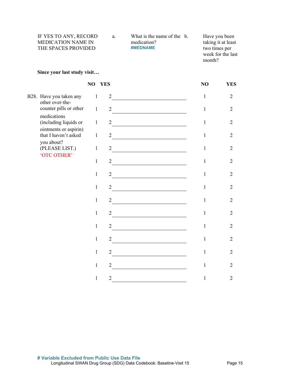| IF YES TO ANY, RECORD     | a. | What is the name of the b. | Have you been      |
|---------------------------|----|----------------------------|--------------------|
| <b>MEDICATION NAME IN</b> |    | medication?                | taking it at least |
| THE SPACES PROVIDED       |    | <b>#MEDNAME</b>            | two times per      |
|                           |    |                            | week for the last  |

month?

#### **Since your last study visit…**

|                                               |              | NO YES         | NO           | <b>YES</b>     |
|-----------------------------------------------|--------------|----------------|--------------|----------------|
| B28. Have you taken any                       | $\mathbf{1}$ | $\overline{2}$ | 1            | $\overline{2}$ |
| other over-the-<br>counter pills or other     | $\mathbf{1}$ | $\overline{2}$ | 1            | $\overline{2}$ |
| medications<br>(including liquids or          | $\mathbf{1}$ | $\overline{2}$ | 1            | $\overline{2}$ |
| ointments or aspirin)<br>that I haven't asked | $\mathbf{1}$ | $\overline{2}$ | 1            | $\overline{2}$ |
| you about?<br>(PLEASE LIST.)                  | $\mathbf{1}$ | $\overline{2}$ | 1            | $\overline{2}$ |
| 'OTC OTHER'                                   | $\mathbf{1}$ | $\overline{2}$ | 1            | $\overline{2}$ |
|                                               | $\mathbf{1}$ | $\overline{2}$ | $\mathbf{1}$ | $\overline{2}$ |
|                                               | $\mathbf{1}$ | $\overline{2}$ | 1            | $\overline{2}$ |
|                                               | $\mathbf{1}$ | $\overline{2}$ | 1            | $\overline{2}$ |
|                                               | $\mathbf{1}$ | $\overline{2}$ | 1            | $\overline{2}$ |
|                                               | $\mathbf{1}$ | 2              | 1            | $\overline{2}$ |
|                                               | $\mathbf{1}$ | $\overline{2}$ | 1            | $\overline{2}$ |
|                                               | $\mathbf{1}$ | $\overline{2}$ | 1            | $\overline{2}$ |
|                                               | $\mathbf{1}$ | $\overline{2}$ | 1            | $\overline{2}$ |
|                                               | $\mathbf{1}$ | $\overline{2}$ | $\mathbf{1}$ | $\overline{2}$ |
|                                               |              |                |              |                |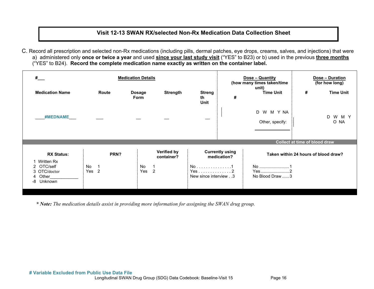# **Visit 12-13 SWAN RX/selected Non-Rx Medication Data Collection Sheet**

C. Record all prescription and selected non-Rx medications (including pills, dermal patches, eye drops, creams, salves, and injections) that were a) administered only **once or twice a year** and used **since your last study visit** ("YES" to B23) or b) used in the previous **three months** ("YES" to B24). **Record the complete medication name exactly as written on the container label.**

| # $-$                                                                                             | <b>Medication Details</b> |                              |                                                             |                                      |                                       | Dose - Quantity<br>(how many times taken/time | Dose - Duration<br>(for how long)    |                    |
|---------------------------------------------------------------------------------------------------|---------------------------|------------------------------|-------------------------------------------------------------|--------------------------------------|---------------------------------------|-----------------------------------------------|--------------------------------------|--------------------|
| <b>Medication Name</b>                                                                            | Route                     | <b>Dosage</b><br><b>Form</b> | <b>Strength</b>                                             | <b>Streng</b><br>th<br><b>Unit</b>   | #                                     | unit)<br><b>Time Unit</b>                     | #                                    | <b>Time Unit</b>   |
| <b>#MEDNAME</b>                                                                                   |                           |                              |                                                             |                                      |                                       | W M Y NA<br>D<br>Other, specify:              |                                      | D<br>W M Y<br>O NA |
|                                                                                                   |                           |                              |                                                             |                                      |                                       |                                               | <b>Collect at time of blood draw</b> |                    |
| <b>RX Status:</b><br><b>Written Rx</b><br>OTC/self<br>3 OTC/doctor<br>Other<br>4<br>-8<br>Unknown | PRN?<br>No<br>2<br>Yes    | No<br>Yes                    | Verified by<br>container?<br>$\mathbf{1}$<br>$\overline{2}$ | No 1<br>Yes2<br>New since interview3 | <b>Currently using</b><br>medication? | Yes2<br>No Blood Draw 3                       | Taken within 24 hours of blood draw? |                    |

*\* Note: The medication details assist in providing more information for assigning the SWAN drug group.*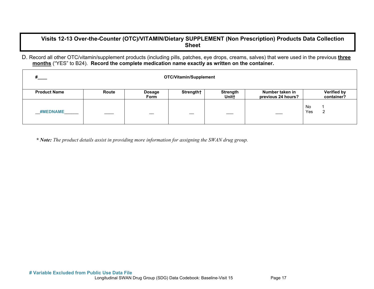# **Visits 12-13 Over-the-Counter (OTC)/VITAMIN/Dietary SUPPLEMENT (Non Prescription) Products Data Collection Sheet**

D. Record all other OTC/vitamin/supplement products (including pills, patches, eye drops, creams, salves) that were used in the previous **three months** ("YES" to B24). **Record the complete medication name exactly as written on the container.** 

| # $\overline{ }$<br>OTC/Vitamin/Supplement |       |                       |           |                          |                                       |                                  |  |  |
|--------------------------------------------|-------|-----------------------|-----------|--------------------------|---------------------------------------|----------------------------------|--|--|
| <b>Product Name</b>                        | Route | <b>Dosage</b><br>Form | Strength† | <b>Strength</b><br>Unit+ | Number taken in<br>previous 24 hours? | <b>Verified by</b><br>container? |  |  |
| <b>#MEDNAME</b>                            |       |                       |           |                          |                                       | No<br>Yes<br>ົ<br>L              |  |  |

*\* Note: The product details assist in providing more information for assigning the SWAN drug group.*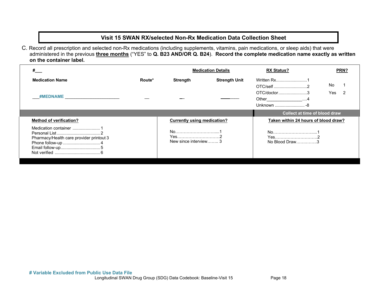# **Visit 15 SWAN RX/selected Non-Rx Medication Data Collection Sheet**

C. Record all prescription and selected non-Rx medications (including supplements, vitamins, pain medications, or sleep aids) that were administered in the previous **three months** ("YES" to **Q. B23 AND/OR Q. B24**). **Record the complete medication name exactly as written on the container label.**

|                                                                  | <b>Medication Details</b> |                                    |                      | <b>RX Status?</b>                                                               | PRN?      |
|------------------------------------------------------------------|---------------------------|------------------------------------|----------------------|---------------------------------------------------------------------------------|-----------|
| <b>Medication Name</b><br>#MEDNAME _____________________________ | Route*                    | Strength                           | <b>Strength Unit</b> | Written Rx1<br>OTC/self2<br>OTC/doctor3<br>Other___________________4<br>Unknown | No<br>Yes |
|                                                                  |                           |                                    |                      | Collect at time of blood draw                                                   |           |
| <b>Method of verification?</b>                                   |                           | <b>Currently using medication?</b> |                      | Taken within 24 hours of blood draw?                                            |           |
| Pharmacy/Health care provider printout 3                         |                           | Yes2<br>New since interview 3      |                      | Yes2<br>No Blood Draw3                                                          |           |